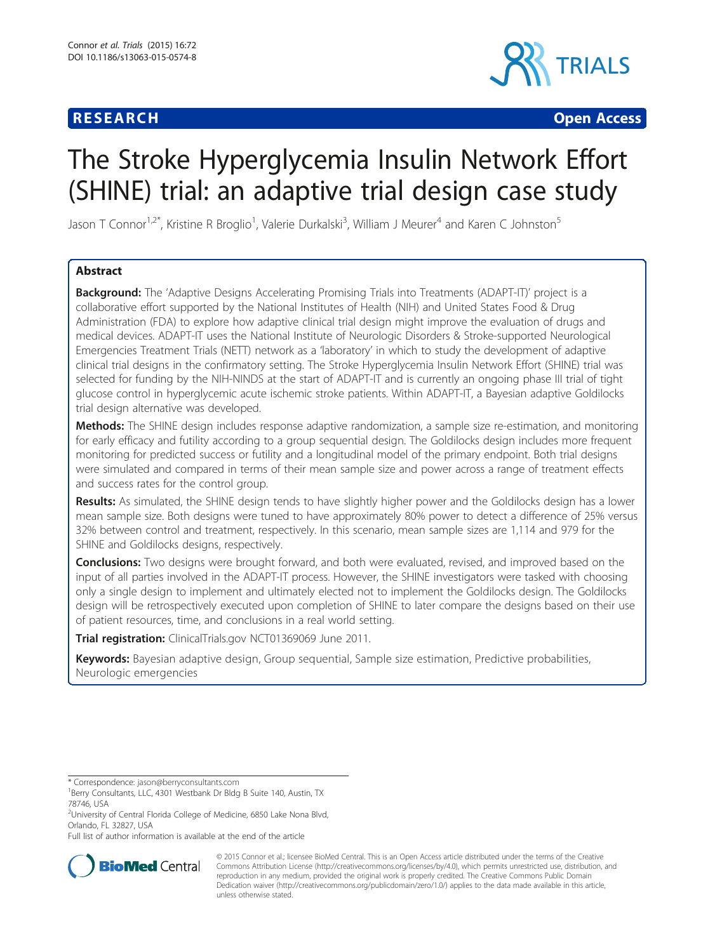# **RESEARCH CHE Open Access**



# The Stroke Hyperglycemia Insulin Network Effort (SHINE) trial: an adaptive trial design case study

Jason T Connor<sup>1,2\*</sup>, Kristine R Broglio<sup>1</sup>, Valerie Durkalski<sup>3</sup>, William J Meurer<sup>4</sup> and Karen C Johnston<sup>5</sup>

# Abstract

**Background:** The 'Adaptive Designs Accelerating Promising Trials into Treatments (ADAPT-IT)' project is a collaborative effort supported by the National Institutes of Health (NIH) and United States Food & Drug Administration (FDA) to explore how adaptive clinical trial design might improve the evaluation of drugs and medical devices. ADAPT-IT uses the National Institute of Neurologic Disorders & Stroke-supported Neurological Emergencies Treatment Trials (NETT) network as a 'laboratory' in which to study the development of adaptive clinical trial designs in the confirmatory setting. The Stroke Hyperglycemia Insulin Network Effort (SHINE) trial was selected for funding by the NIH-NINDS at the start of ADAPT-IT and is currently an ongoing phase III trial of tight glucose control in hyperglycemic acute ischemic stroke patients. Within ADAPT-IT, a Bayesian adaptive Goldilocks trial design alternative was developed.

Methods: The SHINE design includes response adaptive randomization, a sample size re-estimation, and monitoring for early efficacy and futility according to a group sequential design. The Goldilocks design includes more frequent monitoring for predicted success or futility and a longitudinal model of the primary endpoint. Both trial designs were simulated and compared in terms of their mean sample size and power across a range of treatment effects and success rates for the control group.

Results: As simulated, the SHINE design tends to have slightly higher power and the Goldilocks design has a lower mean sample size. Both designs were tuned to have approximately 80% power to detect a difference of 25% versus 32% between control and treatment, respectively. In this scenario, mean sample sizes are 1,114 and 979 for the SHINE and Goldilocks designs, respectively.

**Conclusions:** Two designs were brought forward, and both were evaluated, revised, and improved based on the input of all parties involved in the ADAPT-IT process. However, the SHINE investigators were tasked with choosing only a single design to implement and ultimately elected not to implement the Goldilocks design. The Goldilocks design will be retrospectively executed upon completion of SHINE to later compare the designs based on their use of patient resources, time, and conclusions in a real world setting.

Trial registration: ClinicalTrials.gov [NCT01369069](https://clinicaltrials.gov/ct2/show/NCT01369069) June 2011.

Keywords: Bayesian adaptive design, Group sequential, Sample size estimation, Predictive probabilities, Neurologic emergencies

Full list of author information is available at the end of the article



© 2015 Connor et al.; licensee BioMed Central. This is an Open Access article distributed under the terms of the Creative Commons Attribution License [\(http://creativecommons.org/licenses/by/4.0\)](http://creativecommons.org/licenses/by/4.0), which permits unrestricted use, distribution, and reproduction in any medium, provided the original work is properly credited. The Creative Commons Public Domain Dedication waiver [\(http://creativecommons.org/publicdomain/zero/1.0/](http://creativecommons.org/publicdomain/zero/1.0/)) applies to the data made available in this article, unless otherwise stated.

<sup>\*</sup> Correspondence: [jason@berryconsultants.com](mailto:jason@berryconsultants.com) <sup>1</sup>

<sup>&</sup>lt;sup>1</sup> Berry Consultants, LLC, 4301 Westbank Dr Bldg B Suite 140, Austin, TX 78746, USA

<sup>&</sup>lt;sup>2</sup>University of Central Florida College of Medicine, 6850 Lake Nona Blvd, Orlando, FL 32827, USA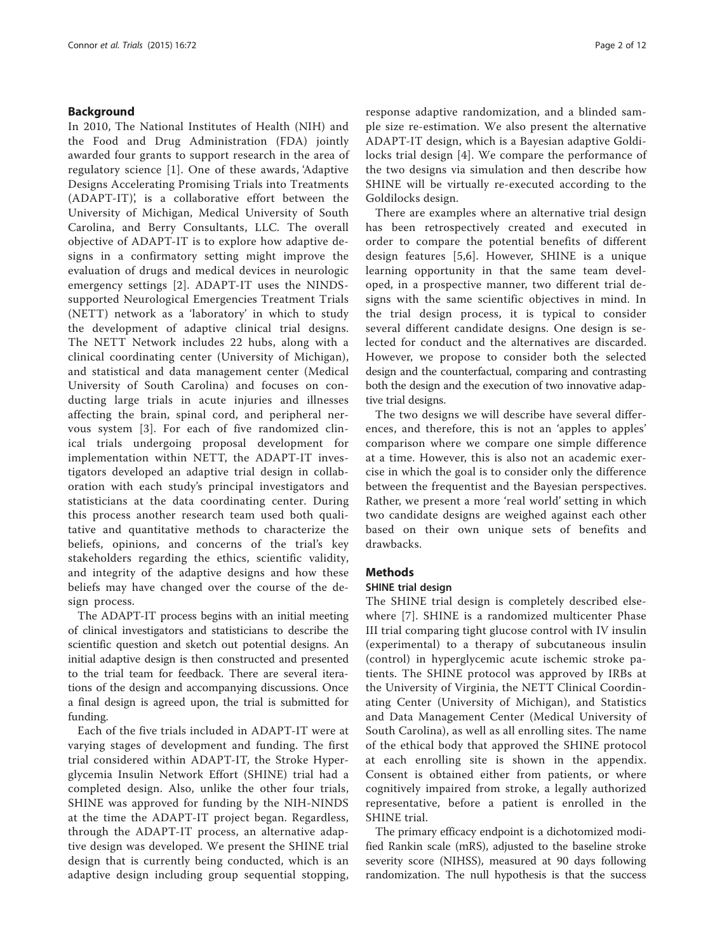# Background

In 2010, The National Institutes of Health (NIH) and the Food and Drug Administration (FDA) jointly awarded four grants to support research in the area of regulatory science [[1](#page-11-0)]. One of these awards, 'Adaptive Designs Accelerating Promising Trials into Treatments (ADAPT-IT)', is a collaborative effort between the University of Michigan, Medical University of South Carolina, and Berry Consultants, LLC. The overall objective of ADAPT-IT is to explore how adaptive designs in a confirmatory setting might improve the evaluation of drugs and medical devices in neurologic emergency settings [\[2](#page-11-0)]. ADAPT-IT uses the NINDSsupported Neurological Emergencies Treatment Trials (NETT) network as a 'laboratory' in which to study the development of adaptive clinical trial designs. The NETT Network includes 22 hubs, along with a clinical coordinating center (University of Michigan), and statistical and data management center (Medical University of South Carolina) and focuses on conducting large trials in acute injuries and illnesses affecting the brain, spinal cord, and peripheral nervous system [[3\]](#page-11-0). For each of five randomized clinical trials undergoing proposal development for implementation within NETT, the ADAPT-IT investigators developed an adaptive trial design in collaboration with each study's principal investigators and statisticians at the data coordinating center. During this process another research team used both qualitative and quantitative methods to characterize the beliefs, opinions, and concerns of the trial's key stakeholders regarding the ethics, scientific validity, and integrity of the adaptive designs and how these beliefs may have changed over the course of the design process.

The ADAPT-IT process begins with an initial meeting of clinical investigators and statisticians to describe the scientific question and sketch out potential designs. An initial adaptive design is then constructed and presented to the trial team for feedback. There are several iterations of the design and accompanying discussions. Once a final design is agreed upon, the trial is submitted for funding.

Each of the five trials included in ADAPT-IT were at varying stages of development and funding. The first trial considered within ADAPT-IT, the Stroke Hyperglycemia Insulin Network Effort (SHINE) trial had a completed design. Also, unlike the other four trials, SHINE was approved for funding by the NIH-NINDS at the time the ADAPT-IT project began. Regardless, through the ADAPT-IT process, an alternative adaptive design was developed. We present the SHINE trial design that is currently being conducted, which is an adaptive design including group sequential stopping,

response adaptive randomization, and a blinded sample size re-estimation. We also present the alternative ADAPT-IT design, which is a Bayesian adaptive Goldilocks trial design [\[4](#page-11-0)]. We compare the performance of the two designs via simulation and then describe how SHINE will be virtually re-executed according to the Goldilocks design.

There are examples where an alternative trial design has been retrospectively created and executed in order to compare the potential benefits of different design features [[5,6](#page-11-0)]. However, SHINE is a unique learning opportunity in that the same team developed, in a prospective manner, two different trial designs with the same scientific objectives in mind. In the trial design process, it is typical to consider several different candidate designs. One design is selected for conduct and the alternatives are discarded. However, we propose to consider both the selected design and the counterfactual, comparing and contrasting both the design and the execution of two innovative adaptive trial designs.

The two designs we will describe have several differences, and therefore, this is not an 'apples to apples' comparison where we compare one simple difference at a time. However, this is also not an academic exercise in which the goal is to consider only the difference between the frequentist and the Bayesian perspectives. Rather, we present a more 'real world' setting in which two candidate designs are weighed against each other based on their own unique sets of benefits and drawbacks.

# Methods

#### SHINE trial design

The SHINE trial design is completely described elsewhere [[7\]](#page-11-0). SHINE is a randomized multicenter Phase III trial comparing tight glucose control with IV insulin (experimental) to a therapy of subcutaneous insulin (control) in hyperglycemic acute ischemic stroke patients. The SHINE protocol was approved by IRBs at the University of Virginia, the NETT Clinical Coordinating Center (University of Michigan), and Statistics and Data Management Center (Medical University of South Carolina), as well as all enrolling sites. The name of the ethical body that approved the SHINE protocol at each enrolling site is shown in the appendix. Consent is obtained either from patients, or where cognitively impaired from stroke, a legally authorized representative, before a patient is enrolled in the SHINE trial.

The primary efficacy endpoint is a dichotomized modified Rankin scale (mRS), adjusted to the baseline stroke severity score (NIHSS), measured at 90 days following randomization. The null hypothesis is that the success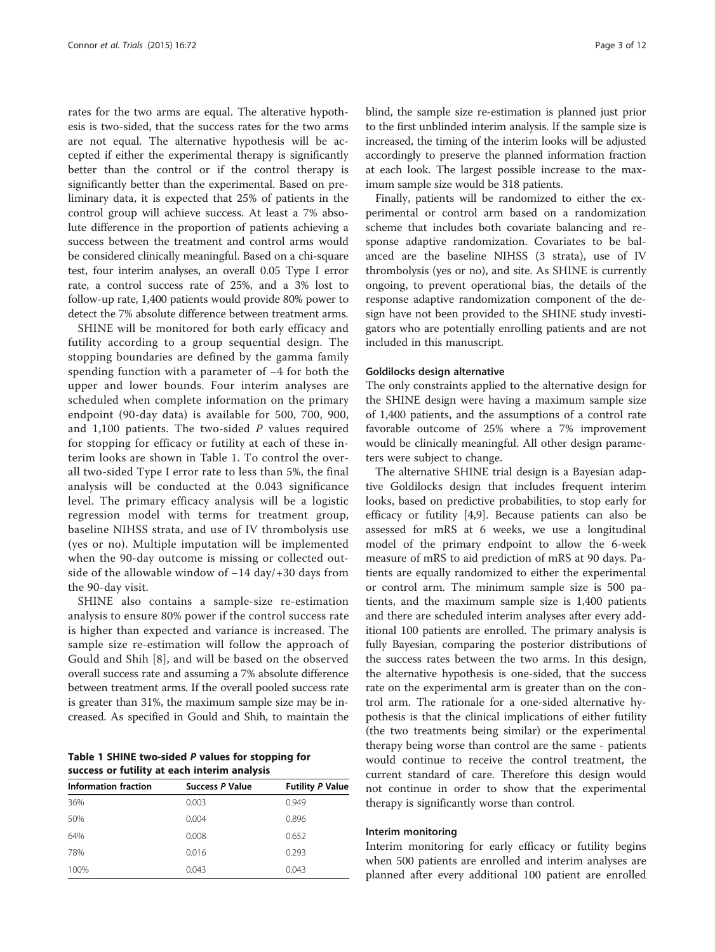<span id="page-2-0"></span>rates for the two arms are equal. The alterative hypothesis is two-sided, that the success rates for the two arms are not equal. The alternative hypothesis will be accepted if either the experimental therapy is significantly better than the control or if the control therapy is significantly better than the experimental. Based on preliminary data, it is expected that 25% of patients in the control group will achieve success. At least a 7% absolute difference in the proportion of patients achieving a success between the treatment and control arms would be considered clinically meaningful. Based on a chi-square test, four interim analyses, an overall 0.05 Type I error rate, a control success rate of 25%, and a 3% lost to follow-up rate, 1,400 patients would provide 80% power to detect the 7% absolute difference between treatment arms.

SHINE will be monitored for both early efficacy and futility according to a group sequential design. The stopping boundaries are defined by the gamma family spending function with a parameter of −4 for both the upper and lower bounds. Four interim analyses are scheduled when complete information on the primary endpoint (90-day data) is available for 500, 700, 900, and  $1,100$  patients. The two-sided  $P$  values required for stopping for efficacy or futility at each of these interim looks are shown in Table 1. To control the overall two-sided Type I error rate to less than 5%, the final analysis will be conducted at the 0.043 significance level. The primary efficacy analysis will be a logistic regression model with terms for treatment group, baseline NIHSS strata, and use of IV thrombolysis use (yes or no). Multiple imputation will be implemented when the 90-day outcome is missing or collected outside of the allowable window of −14 day/+30 days from the 90-day visit.

SHINE also contains a sample-size re-estimation analysis to ensure 80% power if the control success rate is higher than expected and variance is increased. The sample size re-estimation will follow the approach of Gould and Shih [[8\]](#page-11-0), and will be based on the observed overall success rate and assuming a 7% absolute difference between treatment arms. If the overall pooled success rate is greater than 31%, the maximum sample size may be increased. As specified in Gould and Shih, to maintain the

Table 1 SHINE two-sided P values for stopping for success or futility at each interim analysis

| Information fraction | <b>Success P Value</b> | <b>Futility P Value</b> |
|----------------------|------------------------|-------------------------|
| 36%                  | 0.003                  | 0.949                   |
| 50%                  | 0.004                  | 0.896                   |
| 64%                  | 0.008                  | 0.652                   |
| 78%                  | 0.016                  | 0.293                   |
| 100%                 | 0.043                  | 0.043                   |

blind, the sample size re-estimation is planned just prior to the first unblinded interim analysis. If the sample size is increased, the timing of the interim looks will be adjusted accordingly to preserve the planned information fraction at each look. The largest possible increase to the maximum sample size would be 318 patients.

Finally, patients will be randomized to either the experimental or control arm based on a randomization scheme that includes both covariate balancing and response adaptive randomization. Covariates to be balanced are the baseline NIHSS (3 strata), use of IV thrombolysis (yes or no), and site. As SHINE is currently ongoing, to prevent operational bias, the details of the response adaptive randomization component of the design have not been provided to the SHINE study investigators who are potentially enrolling patients and are not included in this manuscript.

# Goldilocks design alternative

The only constraints applied to the alternative design for the SHINE design were having a maximum sample size of 1,400 patients, and the assumptions of a control rate favorable outcome of 25% where a 7% improvement would be clinically meaningful. All other design parameters were subject to change.

The alternative SHINE trial design is a Bayesian adaptive Goldilocks design that includes frequent interim looks, based on predictive probabilities, to stop early for efficacy or futility [[4,9\]](#page-11-0). Because patients can also be assessed for mRS at 6 weeks, we use a longitudinal model of the primary endpoint to allow the 6-week measure of mRS to aid prediction of mRS at 90 days. Patients are equally randomized to either the experimental or control arm. The minimum sample size is 500 patients, and the maximum sample size is 1,400 patients and there are scheduled interim analyses after every additional 100 patients are enrolled. The primary analysis is fully Bayesian, comparing the posterior distributions of the success rates between the two arms. In this design, the alternative hypothesis is one-sided, that the success rate on the experimental arm is greater than on the control arm. The rationale for a one-sided alternative hypothesis is that the clinical implications of either futility (the two treatments being similar) or the experimental therapy being worse than control are the same - patients would continue to receive the control treatment, the current standard of care. Therefore this design would not continue in order to show that the experimental therapy is significantly worse than control.

#### Interim monitoring

Interim monitoring for early efficacy or futility begins when 500 patients are enrolled and interim analyses are planned after every additional 100 patient are enrolled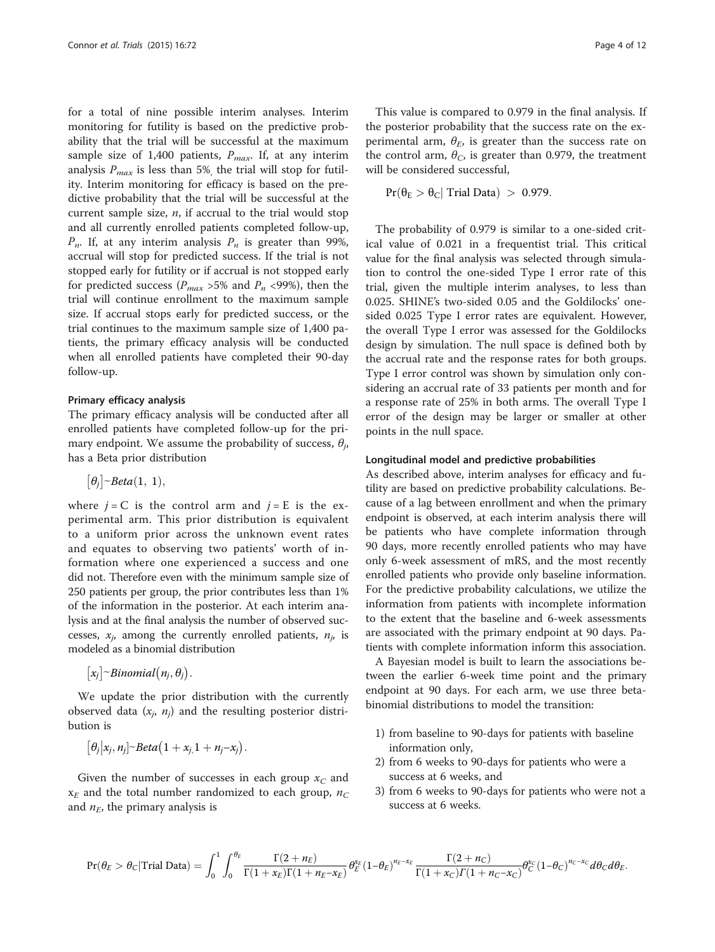for a total of nine possible interim analyses. Interim monitoring for futility is based on the predictive probability that the trial will be successful at the maximum sample size of 1,400 patients,  $P_{max}$ . If, at any interim analysis  $P_{max}$  is less than 5%, the trial will stop for futility. Interim monitoring for efficacy is based on the predictive probability that the trial will be successful at the current sample size,  $n$ , if accrual to the trial would stop and all currently enrolled patients completed follow-up,  $P_n$ . If, at any interim analysis  $P_n$  is greater than 99%, accrual will stop for predicted success. If the trial is not stopped early for futility or if accrual is not stopped early for predicted success ( $P_{max} > 5\%$  and  $P_n < 99\%$ ), then the trial will continue enrollment to the maximum sample size. If accrual stops early for predicted success, or the trial continues to the maximum sample size of 1,400 patients, the primary efficacy analysis will be conducted when all enrolled patients have completed their 90-day follow-up.

# Primary efficacy analysis

The primary efficacy analysis will be conducted after all enrolled patients have completed follow-up for the primary endpoint. We assume the probability of success,  $\theta_i$ has a Beta prior distribution

$$
[\theta_j] \sim Beta(1, 1),
$$

where  $j = C$  is the control arm and  $j = E$  is the experimental arm. This prior distribution is equivalent to a uniform prior across the unknown event rates and equates to observing two patients' worth of information where one experienced a success and one did not. Therefore even with the minimum sample size of 250 patients per group, the prior contributes less than 1% of the information in the posterior. At each interim analysis and at the final analysis the number of observed successes,  $x_i$ , among the currently enrolled patients,  $n_i$ , is modeled as a binomial distribution

$$
[x_j] \sim Binomial(n_j, \theta_j).
$$

We update the prior distribution with the currently observed data  $(x_i, n_i)$  and the resulting posterior distribution is

$$
[\theta_j|x_j,n_j]\sim Beta(1+x_j,1+n_j-x_j).
$$

Given the number of successes in each group  $x_c$  and  $x_E$  and the total number randomized to each group,  $n_C$ and  $n_E$ , the primary analysis is

This value is compared to 0.979 in the final analysis. If the posterior probability that the success rate on the experimental arm,  $\theta_E$ , is greater than the success rate on the control arm,  $\theta_C$ , is greater than 0.979, the treatment will be considered successful,

 $Pr(\theta_E > \theta_C |$  Trial Data $) > 0.979$ .

The probability of 0.979 is similar to a one-sided critical value of 0.021 in a frequentist trial. This critical value for the final analysis was selected through simulation to control the one-sided Type I error rate of this trial, given the multiple interim analyses, to less than 0.025. SHINE's two-sided 0.05 and the Goldilocks' onesided 0.025 Type I error rates are equivalent. However, the overall Type I error was assessed for the Goldilocks design by simulation. The null space is defined both by the accrual rate and the response rates for both groups. Type I error control was shown by simulation only considering an accrual rate of 33 patients per month and for a response rate of 25% in both arms. The overall Type I error of the design may be larger or smaller at other points in the null space.

# Longitudinal model and predictive probabilities

As described above, interim analyses for efficacy and futility are based on predictive probability calculations. Because of a lag between enrollment and when the primary endpoint is observed, at each interim analysis there will be patients who have complete information through 90 days, more recently enrolled patients who may have only 6-week assessment of mRS, and the most recently enrolled patients who provide only baseline information. For the predictive probability calculations, we utilize the information from patients with incomplete information to the extent that the baseline and 6-week assessments are associated with the primary endpoint at 90 days. Patients with complete information inform this association.

A Bayesian model is built to learn the associations between the earlier 6-week time point and the primary endpoint at 90 days. For each arm, we use three betabinomial distributions to model the transition:

- 1) from baseline to 90-days for patients with baseline information only,
- 2) from 6 weeks to 90-days for patients who were a success at 6 weeks, and
- 3) from 6 weeks to 90-days for patients who were not a success at 6 weeks.

$$
\Pr(\theta_E > \theta_C | \text{Trial Data}) = \int_0^1 \int_0^{\theta_E} \frac{\Gamma(2 + n_E)}{\Gamma(1 + x_E)\Gamma(1 + n_E - x_E)} \theta_E^{x_E} (1 - \theta_E)^{n_E - x_E} \frac{\Gamma(2 + n_C)}{\Gamma(1 + x_C)\Gamma(1 + n_C - x_C)} \theta_C^{x_C} (1 - \theta_C)^{n_C - x_C} d\theta_C d\theta_E.
$$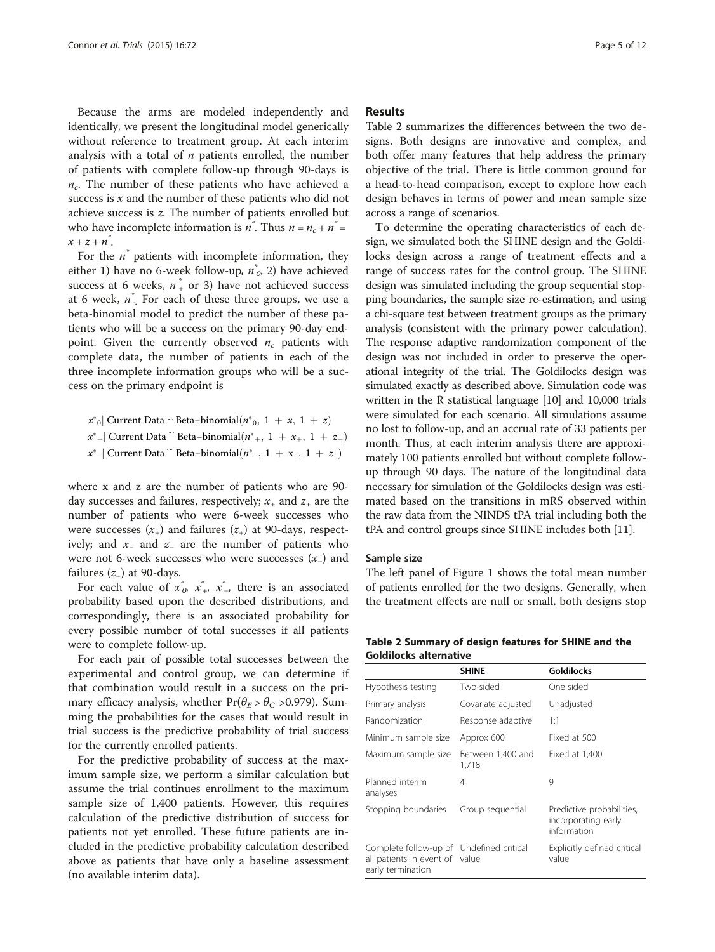<span id="page-4-0"></span>Because the arms are modeled independently and identically, we present the longitudinal model generically without reference to treatment group. At each interim analysis with a total of  $n$  patients enrolled, the number of patients with complete follow-up through 90-days is  $n_c$ . The number of these patients who have achieved a success is  $x$  and the number of these patients who did not achieve success is z. The number of patients enrolled but who have incomplete information is  $n^*$ . Thus  $n = n_c + n^* =$  $x + z + n^*$ .

For the  $n^{\dagger}$  patients with incomplete information, they either 1) have no 6-week follow-up,  $n_0$ , 2) have achieved success at 6 weeks,  $n \stackrel{*}{\scriptscriptstyle +}$  or 3) have not achieved success at 6 week,  $n^*$ . For each of these three groups, we use a beta-binomial model to predict the number of these patients who will be a success on the primary 90-day endpoint. Given the currently observed  $n_c$  patients with complete data, the number of patients in each of the three incomplete information groups who will be a success on the primary endpoint is

$$
x^*_{0}
$$
| Current Data ~ Beta-binomial( $n^*_{0}$ , 1 + x, 1 + z)  
 $x^*_{+}$ | Current Data ~ Beta-binomial( $n^*_{+}$ , 1 + x<sub>+</sub>, 1 + z<sub>+</sub>)  
 $x^*$ |- Current Data ~ Beta-binomial( $n^*$ -, 1 + x<sub>-</sub>, 1 + z<sub>-</sub>)

where x and z are the number of patients who are 90 day successes and failures, respectively;  $x_{+}$  and  $z_{+}$  are the number of patients who were 6-week successes who were successes  $(x_{+})$  and failures  $(z_{+})$  at 90-days, respectively; and  $x_$  and  $z_$  are the number of patients who were not 6-week successes who were successes  $(x_+)$  and failures  $(z_$ ) at 90-days.

For each value of  $x_0^*$ ,  $x_+^*$ ,  $x_-^*$ , there is an associated probability based upon the described distributions, and correspondingly, there is an associated probability for every possible number of total successes if all patients were to complete follow-up.

For each pair of possible total successes between the experimental and control group, we can determine if that combination would result in a success on the primary efficacy analysis, whether  $Pr(\theta_E > \theta_C > 0.979)$ . Summing the probabilities for the cases that would result in trial success is the predictive probability of trial success for the currently enrolled patients.

For the predictive probability of success at the maximum sample size, we perform a similar calculation but assume the trial continues enrollment to the maximum sample size of 1,400 patients. However, this requires calculation of the predictive distribution of success for patients not yet enrolled. These future patients are included in the predictive probability calculation described above as patients that have only a baseline assessment (no available interim data).

# Results

Table 2 summarizes the differences between the two designs. Both designs are innovative and complex, and both offer many features that help address the primary objective of the trial. There is little common ground for a head-to-head comparison, except to explore how each design behaves in terms of power and mean sample size across a range of scenarios.

To determine the operating characteristics of each design, we simulated both the SHINE design and the Goldilocks design across a range of treatment effects and a range of success rates for the control group. The SHINE design was simulated including the group sequential stopping boundaries, the sample size re-estimation, and using a chi-square test between treatment groups as the primary analysis (consistent with the primary power calculation). The response adaptive randomization component of the design was not included in order to preserve the operational integrity of the trial. The Goldilocks design was simulated exactly as described above. Simulation code was written in the R statistical language [\[10\]](#page-11-0) and 10,000 trials were simulated for each scenario. All simulations assume no lost to follow-up, and an accrual rate of 33 patients per month. Thus, at each interim analysis there are approximately 100 patients enrolled but without complete followup through 90 days. The nature of the longitudinal data necessary for simulation of the Goldilocks design was estimated based on the transitions in mRS observed within the raw data from the NINDS tPA trial including both the tPA and control groups since SHINE includes both [\[11](#page-11-0)].

# Sample size

The left panel of Figure [1](#page-5-0) shows the total mean number of patients enrolled for the two designs. Generally, when the treatment effects are null or small, both designs stop

Table 2 Summary of design features for SHINE and the Goldilocks alternative

|                                                                                                 | <b>SHINE</b>               | <b>Goldilocks</b>                                               |
|-------------------------------------------------------------------------------------------------|----------------------------|-----------------------------------------------------------------|
| Hypothesis testing                                                                              | Two-sided                  | One sided                                                       |
| Primary analysis                                                                                | Covariate adjusted         | Unadjusted                                                      |
| Randomization                                                                                   | Response adaptive          | 1:1                                                             |
| Minimum sample size                                                                             | Approx 600                 | Fixed at 500                                                    |
| Maximum sample size                                                                             | Between 1,400 and<br>1,718 | Fixed at 1,400                                                  |
| Planned interim<br>analyses                                                                     | 4                          | 9                                                               |
| Stopping boundaries                                                                             | Group sequential           | Predictive probabilities,<br>incorporating early<br>information |
| Complete follow-up of Undefined critical<br>all patients in event of value<br>early termination |                            | Explicitly defined critical<br>value                            |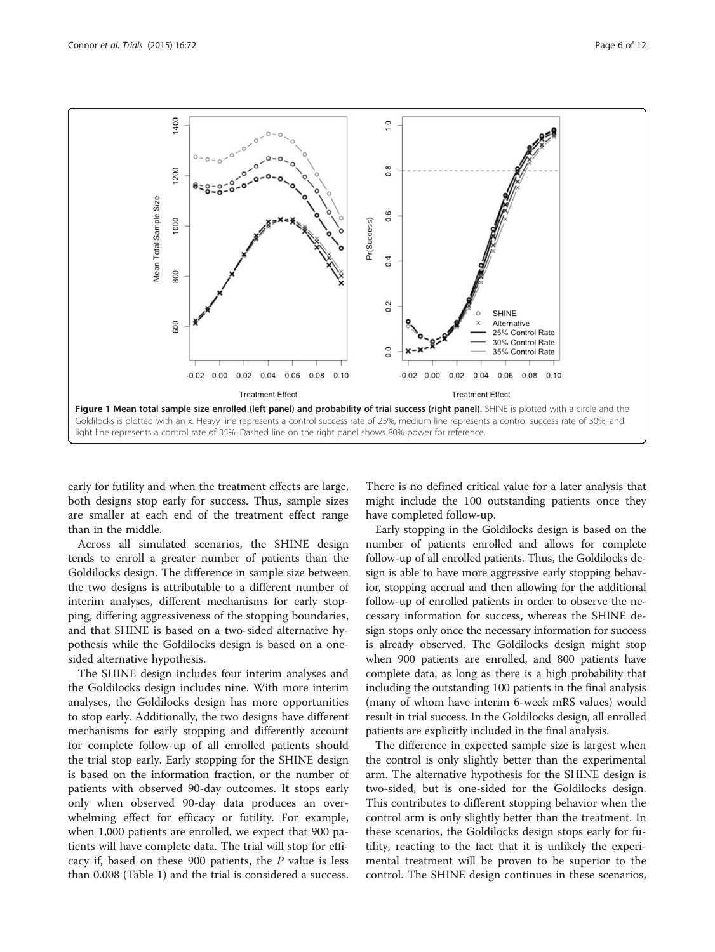<span id="page-5-0"></span>

early for futility and when the treatment effects are large, both designs stop early for success. Thus, sample sizes are smaller at each end of the treatment effect range than in the middle.

Across all simulated scenarios, the SHINE design tends to enroll a greater number of patients than the Goldilocks design. The difference in sample size between the two designs is attributable to a different number of interim analyses, different mechanisms for early stopping, differing aggressiveness of the stopping boundaries, and that SHINE is based on a two-sided alternative hypothesis while the Goldilocks design is based on a onesided alternative hypothesis.

The SHINE design includes four interim analyses and the Goldilocks design includes nine. With more interim analyses, the Goldilocks design has more opportunities to stop early. Additionally, the two designs have different mechanisms for early stopping and differently account for complete follow-up of all enrolled patients should the trial stop early. Early stopping for the SHINE design is based on the information fraction, or the number of patients with observed 90-day outcomes. It stops early only when observed 90-day data produces an overwhelming effect for efficacy or futility. For example, when 1,000 patients are enrolled, we expect that 900 patients will have complete data. The trial will stop for efficacy if, based on these 900 patients, the  $P$  value is less than 0.008 (Table [1\)](#page-2-0) and the trial is considered a success.

There is no defined critical value for a later analysis that might include the 100 outstanding patients once they have completed follow-up.

Early stopping in the Goldilocks design is based on the number of patients enrolled and allows for complete follow-up of all enrolled patients. Thus, the Goldilocks design is able to have more aggressive early stopping behavior, stopping accrual and then allowing for the additional follow-up of enrolled patients in order to observe the necessary information for success, whereas the SHINE design stops only once the necessary information for success is already observed. The Goldilocks design might stop when 900 patients are enrolled, and 800 patients have complete data, as long as there is a high probability that including the outstanding 100 patients in the final analysis (many of whom have interim 6-week mRS values) would result in trial success. In the Goldilocks design, all enrolled patients are explicitly included in the final analysis.

The difference in expected sample size is largest when the control is only slightly better than the experimental arm. The alternative hypothesis for the SHINE design is two-sided, but is one-sided for the Goldilocks design. This contributes to different stopping behavior when the control arm is only slightly better than the treatment. In these scenarios, the Goldilocks design stops early for futility, reacting to the fact that it is unlikely the experimental treatment will be proven to be superior to the control. The SHINE design continues in these scenarios,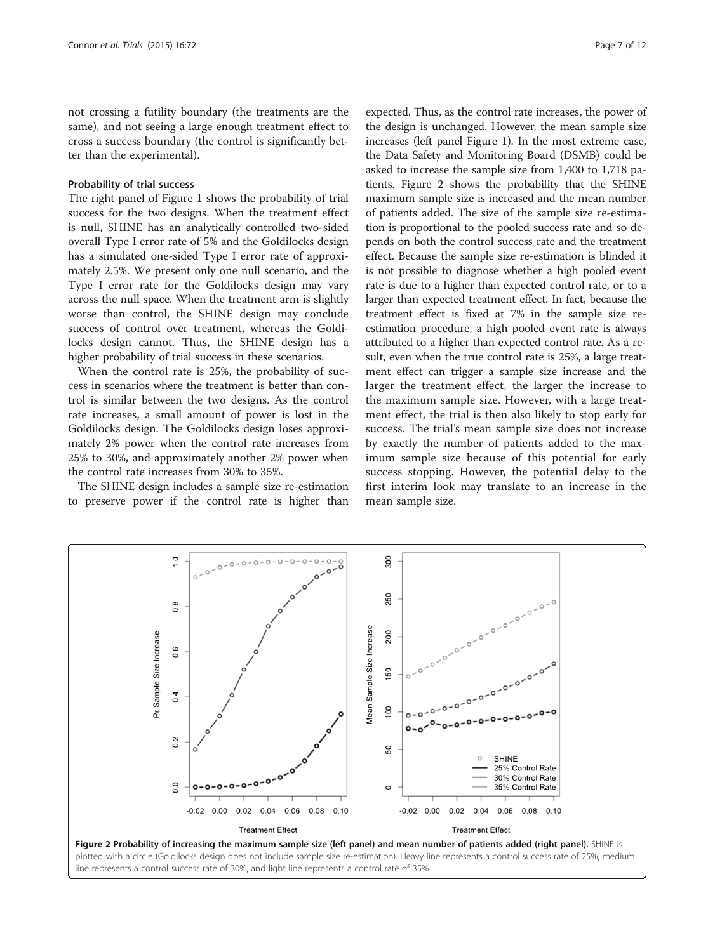not crossing a futility boundary (the treatments are the same), and not seeing a large enough treatment effect to cross a success boundary (the control is significantly better than the experimental).

### Probability of trial success

The right panel of Figure [1](#page-5-0) shows the probability of trial success for the two designs. When the treatment effect is null, SHINE has an analytically controlled two-sided overall Type I error rate of 5% and the Goldilocks design has a simulated one-sided Type I error rate of approximately 2.5%. We present only one null scenario, and the Type I error rate for the Goldilocks design may vary across the null space. When the treatment arm is slightly worse than control, the SHINE design may conclude success of control over treatment, whereas the Goldilocks design cannot. Thus, the SHINE design has a higher probability of trial success in these scenarios.

When the control rate is 25%, the probability of success in scenarios where the treatment is better than control is similar between the two designs. As the control rate increases, a small amount of power is lost in the Goldilocks design. The Goldilocks design loses approximately 2% power when the control rate increases from 25% to 30%, and approximately another 2% power when the control rate increases from 30% to 35%.

The SHINE design includes a sample size re-estimation to preserve power if the control rate is higher than

expected. Thus, as the control rate increases, the power of the design is unchanged. However, the mean sample size increases (left panel Figure [1\)](#page-5-0). In the most extreme case, the Data Safety and Monitoring Board (DSMB) could be asked to increase the sample size from 1,400 to 1,718 patients. Figure 2 shows the probability that the SHINE maximum sample size is increased and the mean number of patients added. The size of the sample size re-estimation is proportional to the pooled success rate and so depends on both the control success rate and the treatment effect. Because the sample size re-estimation is blinded it is not possible to diagnose whether a high pooled event rate is due to a higher than expected control rate, or to a larger than expected treatment effect. In fact, because the treatment effect is fixed at 7% in the sample size reestimation procedure, a high pooled event rate is always attributed to a higher than expected control rate. As a result, even when the true control rate is 25%, a large treatment effect can trigger a sample size increase and the larger the treatment effect, the larger the increase to the maximum sample size. However, with a large treatment effect, the trial is then also likely to stop early for success. The trial's mean sample size does not increase by exactly the number of patients added to the maximum sample size because of this potential for early success stopping. However, the potential delay to the first interim look may translate to an increase in the mean sample size.

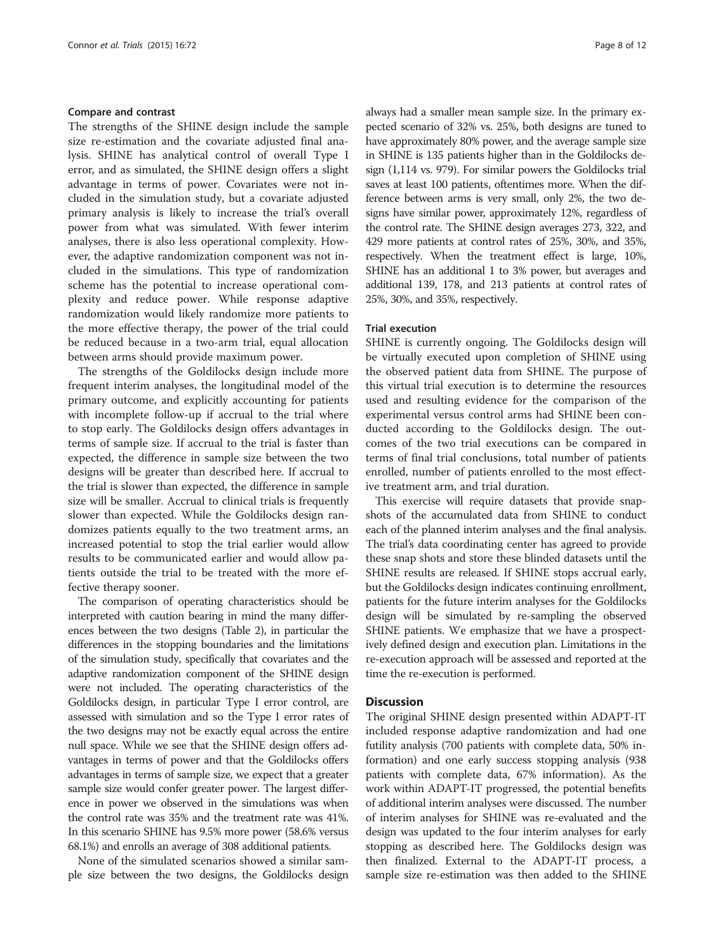# Compare and contrast

The strengths of the SHINE design include the sample size re-estimation and the covariate adjusted final analysis. SHINE has analytical control of overall Type I error, and as simulated, the SHINE design offers a slight advantage in terms of power. Covariates were not included in the simulation study, but a covariate adjusted primary analysis is likely to increase the trial's overall power from what was simulated. With fewer interim analyses, there is also less operational complexity. However, the adaptive randomization component was not included in the simulations. This type of randomization scheme has the potential to increase operational complexity and reduce power. While response adaptive randomization would likely randomize more patients to the more effective therapy, the power of the trial could be reduced because in a two-arm trial, equal allocation between arms should provide maximum power.

The strengths of the Goldilocks design include more frequent interim analyses, the longitudinal model of the primary outcome, and explicitly accounting for patients with incomplete follow-up if accrual to the trial where to stop early. The Goldilocks design offers advantages in terms of sample size. If accrual to the trial is faster than expected, the difference in sample size between the two designs will be greater than described here. If accrual to the trial is slower than expected, the difference in sample size will be smaller. Accrual to clinical trials is frequently slower than expected. While the Goldilocks design randomizes patients equally to the two treatment arms, an increased potential to stop the trial earlier would allow results to be communicated earlier and would allow patients outside the trial to be treated with the more effective therapy sooner.

The comparison of operating characteristics should be interpreted with caution bearing in mind the many differences between the two designs (Table [2\)](#page-4-0), in particular the differences in the stopping boundaries and the limitations of the simulation study, specifically that covariates and the adaptive randomization component of the SHINE design were not included. The operating characteristics of the Goldilocks design, in particular Type I error control, are assessed with simulation and so the Type I error rates of the two designs may not be exactly equal across the entire null space. While we see that the SHINE design offers advantages in terms of power and that the Goldilocks offers advantages in terms of sample size, we expect that a greater sample size would confer greater power. The largest difference in power we observed in the simulations was when the control rate was 35% and the treatment rate was 41%. In this scenario SHINE has 9.5% more power (58.6% versus 68.1%) and enrolls an average of 308 additional patients.

None of the simulated scenarios showed a similar sample size between the two designs, the Goldilocks design

always had a smaller mean sample size. In the primary expected scenario of 32% vs. 25%, both designs are tuned to have approximately 80% power, and the average sample size in SHINE is 135 patients higher than in the Goldilocks design (1,114 vs. 979). For similar powers the Goldilocks trial saves at least 100 patients, oftentimes more. When the difference between arms is very small, only 2%, the two designs have similar power, approximately 12%, regardless of the control rate. The SHINE design averages 273, 322, and 429 more patients at control rates of 25%, 30%, and 35%, respectively. When the treatment effect is large, 10%, SHINE has an additional 1 to 3% power, but averages and additional 139, 178, and 213 patients at control rates of 25%, 30%, and 35%, respectively.

# Trial execution

SHINE is currently ongoing. The Goldilocks design will be virtually executed upon completion of SHINE using the observed patient data from SHINE. The purpose of this virtual trial execution is to determine the resources used and resulting evidence for the comparison of the experimental versus control arms had SHINE been conducted according to the Goldilocks design. The outcomes of the two trial executions can be compared in terms of final trial conclusions, total number of patients enrolled, number of patients enrolled to the most effective treatment arm, and trial duration.

This exercise will require datasets that provide snapshots of the accumulated data from SHINE to conduct each of the planned interim analyses and the final analysis. The trial's data coordinating center has agreed to provide these snap shots and store these blinded datasets until the SHINE results are released. If SHINE stops accrual early, but the Goldilocks design indicates continuing enrollment, patients for the future interim analyses for the Goldilocks design will be simulated by re-sampling the observed SHINE patients. We emphasize that we have a prospectively defined design and execution plan. Limitations in the re-execution approach will be assessed and reported at the time the re-execution is performed.

# **Discussion**

The original SHINE design presented within ADAPT-IT included response adaptive randomization and had one futility analysis (700 patients with complete data, 50% information) and one early success stopping analysis (938 patients with complete data, 67% information). As the work within ADAPT-IT progressed, the potential benefits of additional interim analyses were discussed. The number of interim analyses for SHINE was re-evaluated and the design was updated to the four interim analyses for early stopping as described here. The Goldilocks design was then finalized. External to the ADAPT-IT process, a sample size re-estimation was then added to the SHINE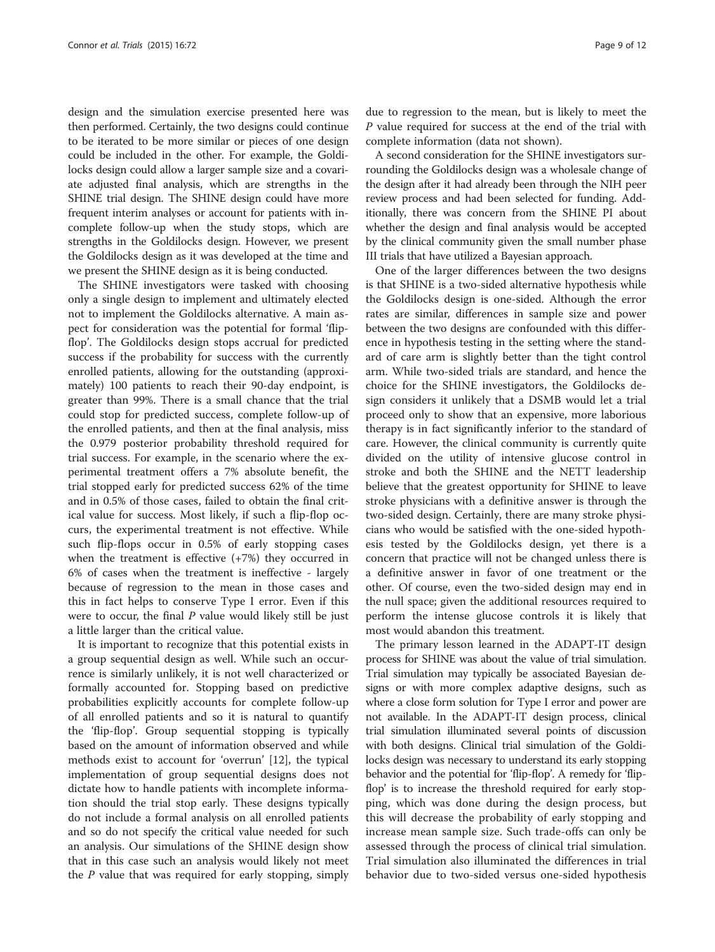design and the simulation exercise presented here was then performed. Certainly, the two designs could continue to be iterated to be more similar or pieces of one design could be included in the other. For example, the Goldilocks design could allow a larger sample size and a covariate adjusted final analysis, which are strengths in the SHINE trial design. The SHINE design could have more frequent interim analyses or account for patients with incomplete follow-up when the study stops, which are strengths in the Goldilocks design. However, we present the Goldilocks design as it was developed at the time and we present the SHINE design as it is being conducted.

The SHINE investigators were tasked with choosing only a single design to implement and ultimately elected not to implement the Goldilocks alternative. A main aspect for consideration was the potential for formal 'flipflop'. The Goldilocks design stops accrual for predicted success if the probability for success with the currently enrolled patients, allowing for the outstanding (approximately) 100 patients to reach their 90-day endpoint, is greater than 99%. There is a small chance that the trial could stop for predicted success, complete follow-up of the enrolled patients, and then at the final analysis, miss the 0.979 posterior probability threshold required for trial success. For example, in the scenario where the experimental treatment offers a 7% absolute benefit, the trial stopped early for predicted success 62% of the time and in 0.5% of those cases, failed to obtain the final critical value for success. Most likely, if such a flip-flop occurs, the experimental treatment is not effective. While such flip-flops occur in 0.5% of early stopping cases when the treatment is effective (+7%) they occurred in 6% of cases when the treatment is ineffective - largely because of regression to the mean in those cases and this in fact helps to conserve Type I error. Even if this were to occur, the final  $P$  value would likely still be just a little larger than the critical value.

It is important to recognize that this potential exists in a group sequential design as well. While such an occurrence is similarly unlikely, it is not well characterized or formally accounted for. Stopping based on predictive probabilities explicitly accounts for complete follow-up of all enrolled patients and so it is natural to quantify the 'flip-flop'. Group sequential stopping is typically based on the amount of information observed and while methods exist to account for 'overrun' [\[12](#page-11-0)], the typical implementation of group sequential designs does not dictate how to handle patients with incomplete information should the trial stop early. These designs typically do not include a formal analysis on all enrolled patients and so do not specify the critical value needed for such an analysis. Our simulations of the SHINE design show that in this case such an analysis would likely not meet the  $P$  value that was required for early stopping, simply

due to regression to the mean, but is likely to meet the P value required for success at the end of the trial with complete information (data not shown).

A second consideration for the SHINE investigators surrounding the Goldilocks design was a wholesale change of the design after it had already been through the NIH peer review process and had been selected for funding. Additionally, there was concern from the SHINE PI about whether the design and final analysis would be accepted by the clinical community given the small number phase III trials that have utilized a Bayesian approach.

One of the larger differences between the two designs is that SHINE is a two-sided alternative hypothesis while the Goldilocks design is one-sided. Although the error rates are similar, differences in sample size and power between the two designs are confounded with this difference in hypothesis testing in the setting where the standard of care arm is slightly better than the tight control arm. While two-sided trials are standard, and hence the choice for the SHINE investigators, the Goldilocks design considers it unlikely that a DSMB would let a trial proceed only to show that an expensive, more laborious therapy is in fact significantly inferior to the standard of care. However, the clinical community is currently quite divided on the utility of intensive glucose control in stroke and both the SHINE and the NETT leadership believe that the greatest opportunity for SHINE to leave stroke physicians with a definitive answer is through the two-sided design. Certainly, there are many stroke physicians who would be satisfied with the one-sided hypothesis tested by the Goldilocks design, yet there is a concern that practice will not be changed unless there is a definitive answer in favor of one treatment or the other. Of course, even the two-sided design may end in the null space; given the additional resources required to perform the intense glucose controls it is likely that most would abandon this treatment.

The primary lesson learned in the ADAPT-IT design process for SHINE was about the value of trial simulation. Trial simulation may typically be associated Bayesian designs or with more complex adaptive designs, such as where a close form solution for Type I error and power are not available. In the ADAPT-IT design process, clinical trial simulation illuminated several points of discussion with both designs. Clinical trial simulation of the Goldilocks design was necessary to understand its early stopping behavior and the potential for 'flip-flop'. A remedy for 'flipflop' is to increase the threshold required for early stopping, which was done during the design process, but this will decrease the probability of early stopping and increase mean sample size. Such trade-offs can only be assessed through the process of clinical trial simulation. Trial simulation also illuminated the differences in trial behavior due to two-sided versus one-sided hypothesis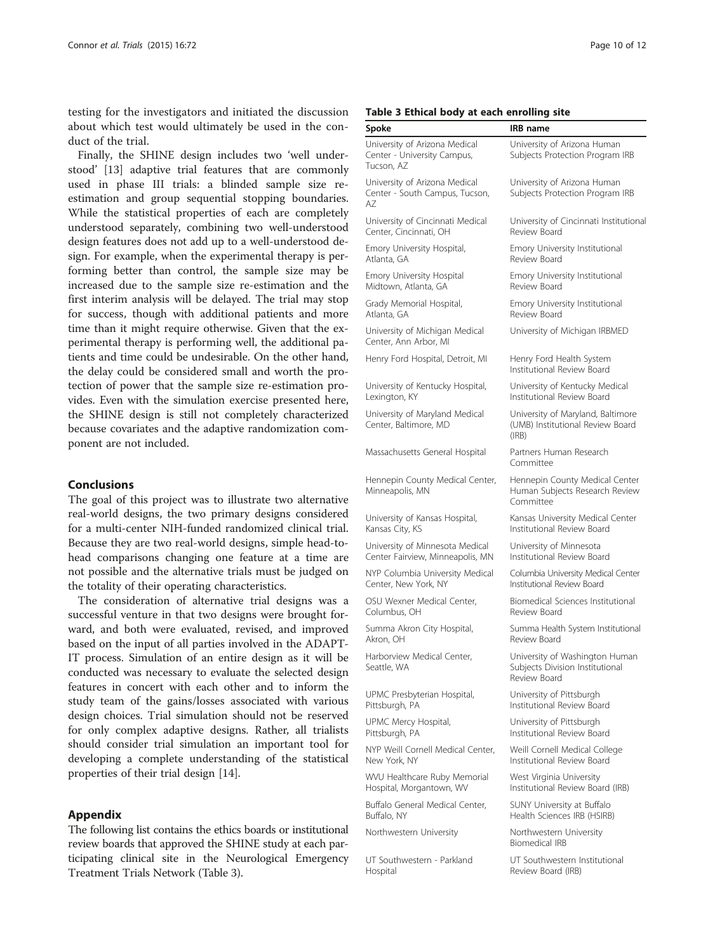testing for the investigators and initiated the discussion about which test would ultimately be used in the conduct of the trial.

Finally, the SHINE design includes two 'well understood' [[13\]](#page-11-0) adaptive trial features that are commonly used in phase III trials: a blinded sample size reestimation and group sequential stopping boundaries. While the statistical properties of each are completely understood separately, combining two well-understood design features does not add up to a well-understood design. For example, when the experimental therapy is performing better than control, the sample size may be increased due to the sample size re-estimation and the first interim analysis will be delayed. The trial may stop for success, though with additional patients and more time than it might require otherwise. Given that the experimental therapy is performing well, the additional patients and time could be undesirable. On the other hand, the delay could be considered small and worth the protection of power that the sample size re-estimation provides. Even with the simulation exercise presented here, the SHINE design is still not completely characterized because covariates and the adaptive randomization component are not included.

# Conclusions

The goal of this project was to illustrate two alternative real-world designs, the two primary designs considered for a multi-center NIH-funded randomized clinical trial. Because they are two real-world designs, simple head-tohead comparisons changing one feature at a time are not possible and the alternative trials must be judged on the totality of their operating characteristics.

The consideration of alternative trial designs was a successful venture in that two designs were brought forward, and both were evaluated, revised, and improved based on the input of all parties involved in the ADAPT-IT process. Simulation of an entire design as it will be conducted was necessary to evaluate the selected design features in concert with each other and to inform the study team of the gains/losses associated with various design choices. Trial simulation should not be reserved for only complex adaptive designs. Rather, all trialists should consider trial simulation an important tool for developing a complete understanding of the statistical properties of their trial design [\[14](#page-11-0)].

# Appendix

The following list contains the ethics boards or institutional review boards that approved the SHINE study at each participating clinical site in the Neurological Emergency Treatment Trials Network (Table 3).

#### Table 3 Ethical body at each enrolling site

| Spoke                                                                      | <b>IRB</b> name                                                                   |
|----------------------------------------------------------------------------|-----------------------------------------------------------------------------------|
| University of Arizona Medical<br>Center - University Campus,<br>Tucson, AZ | University of Arizona Human<br>Subjects Protection Program IRB                    |
| University of Arizona Medical<br>Center - South Campus, Tucson,<br>AZ      | University of Arizona Human<br>Subjects Protection Program IRB                    |
| University of Cincinnati Medical                                           | University of Cincinnati Institutional                                            |
| Center, Cincinnati, OH                                                     | Review Board                                                                      |
| Emory University Hospital,                                                 | Emory University Institutional                                                    |
| Atlanta, GA                                                                | Review Board                                                                      |
| Emory University Hospital                                                  | Emory University Institutional                                                    |
| Midtown, Atlanta, GA                                                       | Review Board                                                                      |
| Grady Memorial Hospital,                                                   | Emory University Institutional                                                    |
| Atlanta, GA                                                                | Review Board                                                                      |
| University of Michigan Medical<br>Center, Ann Arbor, MI                    | University of Michigan IRBMED                                                     |
| Henry Ford Hospital, Detroit, MI                                           | Henry Ford Health System<br>Institutional Review Board                            |
| University of Kentucky Hospital,                                           | University of Kentucky Medical                                                    |
| Lexington, KY                                                              | Institutional Review Board                                                        |
| University of Maryland Medical<br>Center, Baltimore, MD                    | University of Maryland, Baltimore<br>(UMB) Institutional Review Board<br>(IRB)    |
| Massachusetts General Hospital                                             | Partners Human Research<br>Committee                                              |
| Hennepin County Medical Center,<br>Minneapolis, MN                         | Hennepin County Medical Center<br>Human Subjects Research Review<br>Committee     |
| University of Kansas Hospital,                                             | Kansas University Medical Center                                                  |
| Kansas City, KS                                                            | Institutional Review Board                                                        |
| University of Minnesota Medical                                            | University of Minnesota                                                           |
| Center Fairview, Minneapolis, MN                                           | Institutional Review Board                                                        |
| NYP Columbia University Medical                                            | Columbia University Medical Center                                                |
| Center, New York, NY                                                       | Institutional Review Board                                                        |
| OSU Wexner Medical Center,                                                 | Biomedical Sciences Institutional                                                 |
| Columbus, OH                                                               | Review Board                                                                      |
| Summa Akron City Hospital,                                                 | Summa Health System Institutional                                                 |
| Akron, OH                                                                  | Review Board                                                                      |
| Harborview Medical Center,<br>Seattle, WA                                  | University of Washington Human<br>Subjects Division Institutional<br>Review Board |
| UPMC Presbyterian Hospital,                                                | University of Pittsburgh                                                          |
| Pittsburgh, PA                                                             | Institutional Review Board                                                        |
| UPMC Mercy Hospital,                                                       | University of Pittsburgh                                                          |
| Pittsburgh, PA                                                             | Institutional Review Board                                                        |
| NYP Weill Cornell Medical Center,                                          | Weill Cornell Medical College                                                     |
| New York, NY                                                               | Institutional Review Board                                                        |
| WVU Healthcare Ruby Memorial                                               | West Virginia University                                                          |
| Hospital, Morgantown, WV                                                   | Institutional Review Board (IRB)                                                  |
| Buffalo General Medical Center,                                            | SUNY University at Buffalo                                                        |
| Buffalo, NY                                                                | Health Sciences IRB (HSIRB)                                                       |
| Northwestern University                                                    | Northwestern University<br><b>Biomedical IRB</b>                                  |
| UT Southwestern - Parkland                                                 | UT Southwestern Institutional                                                     |
| Hospital                                                                   | Review Board (IRB)                                                                |
|                                                                            |                                                                                   |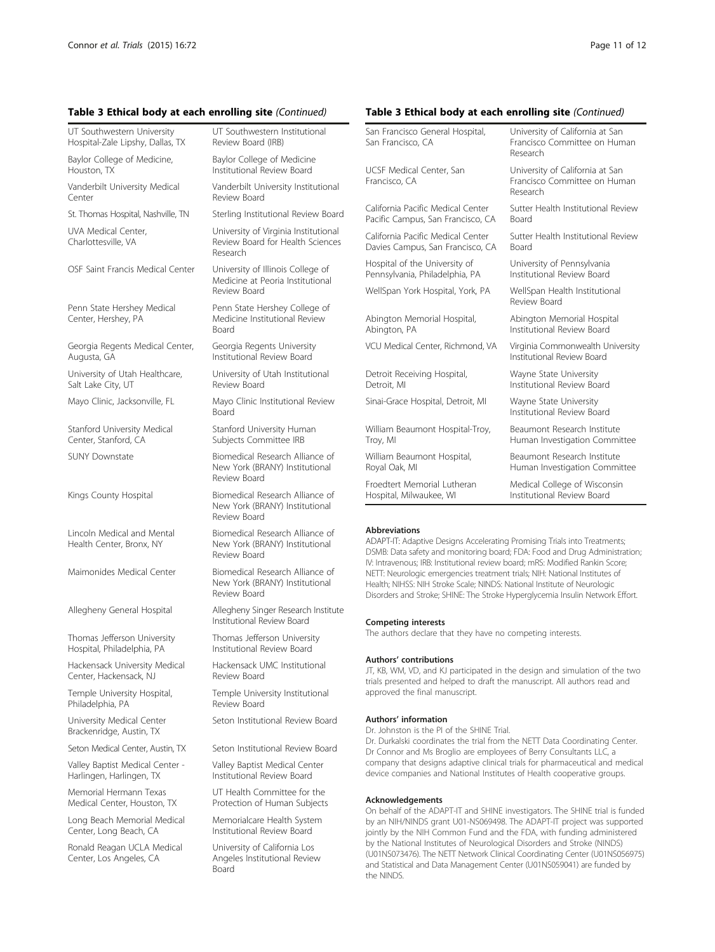# Table 3 Ethical body at each enrolling site (Continued)

| UT Southwestern University<br>Hospital-Zale Lipshy, Dallas, TX | UT Southwestern Institutional<br>Review Board (IRB)                                   |
|----------------------------------------------------------------|---------------------------------------------------------------------------------------|
| Baylor College of Medicine,<br>Houston, TX                     | Baylor College of Medicine<br>Institutional Review Board                              |
| Vanderbilt University Medical<br>Center                        | Vanderbilt University Institutional<br>Review Board                                   |
| St. Thomas Hospital, Nashville, TN                             | Sterling Institutional Review Board                                                   |
| UVA Medical Center,<br>Charlottesville, VA                     | University of Virginia Institutional<br>Review Board for Health Sciences<br>Research  |
| OSF Saint Francis Medical Center                               | University of Illinois College of<br>Medicine at Peoria Institutional<br>Review Board |
| Penn State Hershey Medical<br>Center, Hershey, PA              | Penn State Hershey College of<br>Medicine Institutional Review<br>Board               |
| Georgia Regents Medical Center,<br>Augusta, GA                 | Georgia Regents University<br>Institutional Review Board                              |
| University of Utah Healthcare,<br>Salt Lake City, UT           | University of Utah Institutional<br>Review Board                                      |
| Mayo Clinic, Jacksonville, FL                                  | Mayo Clinic Institutional Review<br><b>Board</b>                                      |
| Stanford University Medical<br>Center, Stanford, CA            | Stanford University Human<br>Subjects Committee IRB                                   |
| <b>SUNY Downstate</b>                                          | Biomedical Research Alliance of<br>New York (BRANY) Institutional<br>Review Board     |
| Kings County Hospital                                          | Biomedical Research Alliance of<br>New York (BRANY) Institutional<br>Review Board     |
| Lincoln Medical and Mental<br>Health Center, Bronx, NY         | Biomedical Research Alliance of<br>New York (BRANY) Institutional<br>Review Board     |
| Maimonides Medical Center                                      | Biomedical Research Alliance of<br>New York (BRANY) Institutional<br>Review Board     |
| Allegheny General Hospital                                     | Allegheny Singer Research Institute<br>Institutional Review Board                     |
| Thomas Jefferson University<br>Hospital, Philadelphia, PA      | Thomas Jefferson University<br>Institutional Review Board                             |
| Hackensack University Medical<br>Center, Hackensack, NJ        | Hackensack UMC Institutional<br>Review Board                                          |
| Temple University Hospital,<br>Philadelphia, PA                | Temple University Institutional<br>Review Board                                       |
| University Medical Center<br>Brackenridge, Austin, TX          | Seton Institutional Review Board                                                      |
| Seton Medical Center, Austin, TX                               | Seton Institutional Review Board                                                      |
| Valley Baptist Medical Center -<br>Harlingen, Harlingen, TX    | Valley Baptist Medical Center<br>Institutional Review Board                           |
| Memorial Hermann Texas<br>Medical Center, Houston, TX          | UT Health Committee for the<br>Protection of Human Subjects                           |
| Long Beach Memorial Medical<br>Center, Long Beach, CA          | Memorialcare Health System<br>Institutional Review Board                              |
| Ronald Reagan UCLA Medical<br>Center, Los Angeles, CA          | University of California Los<br>Angeles Institutional Review<br>Board                 |

# Table 3 Ethical body at each enrolling site (Continued)

| San Francisco General Hospital,<br>San Francisco, CA | University of California at San<br>Francisco Committee on Human<br>Research |
|------------------------------------------------------|-----------------------------------------------------------------------------|
| UCSF Medical Center, San<br>Francisco, CA            | University of California at San<br>Francisco Committee on Human<br>Research |
| California Pacific Medical Center                    | Sutter Health Institutional Review                                          |
| Pacific Campus, San Francisco, CA                    | <b>Board</b>                                                                |
| California Pacific Medical Center                    | Sutter Health Institutional Review                                          |
| Davies Campus, San Francisco, CA                     | <b>Board</b>                                                                |
| Hospital of the University of                        | University of Pennsylvania                                                  |
| Pennsylvania, Philadelphia, PA                       | Institutional Review Board                                                  |
| WellSpan York Hospital, York, PA                     | WellSpan Health Institutional<br>Review Board                               |
| Abington Memorial Hospital,                          | Abington Memorial Hospital                                                  |
| Abington, PA                                         | Institutional Review Board                                                  |
| VCU Medical Center, Richmond, VA                     | Virginia Commonwealth University<br>Institutional Review Board              |
| Detroit Receiving Hospital,                          | Wayne State University                                                      |
| Detroit, MI                                          | Institutional Review Board                                                  |
| Sinai-Grace Hospital, Detroit, MI                    | Wayne State University<br>Institutional Review Board                        |
| William Beaumont Hospital-Troy,                      | Beaumont Research Institute                                                 |
| Troy, MI                                             | Human Investigation Committee                                               |
| William Beaumont Hospital,                           | Beaumont Research Institute                                                 |
| Royal Oak, MI                                        | Human Investigation Committee                                               |
| Froedtert Memorial Lutheran                          | Medical College of Wisconsin                                                |
| Hospital, Milwaukee, WI                              | Institutional Review Board                                                  |

#### Abbreviations

ADAPT-IT: Adaptive Designs Accelerating Promising Trials into Treatments; DSMB: Data safety and monitoring board; FDA: Food and Drug Administration; IV: Intravenous; IRB: Institutional review board; mRS: Modified Rankin Score; NETT: Neurologic emergencies treatment trials; NIH: National Institutes of Health; NIHSS: NIH Stroke Scale; NINDS: National Institute of Neurologic Disorders and Stroke; SHINE: The Stroke Hyperglycemia Insulin Network Effort.

#### Competing interests

The authors declare that they have no competing interests.

#### Authors' contributions

JT, KB, WM, VD, and KJ participated in the design and simulation of the two trials presented and helped to draft the manuscript. All authors read and approved the final manuscript.

#### Authors' information

Dr. Johnston is the PI of the SHINE Trial.

Dr. Durkalski coordinates the trial from the NETT Data Coordinating Center. Dr Connor and Ms Broglio are employees of Berry Consultants LLC, a company that designs adaptive clinical trials for pharmaceutical and medical device companies and National Institutes of Health cooperative groups.

#### Acknowledgements

On behalf of the ADAPT-IT and SHINE investigators. The SHINE trial is funded by an NIH/NINDS grant U01-NS069498. The ADAPT-IT project was supported jointly by the NIH Common Fund and the FDA, with funding administered by the National Institutes of Neurological Disorders and Stroke (NINDS) (U01NS073476). The NETT Network Clinical Coordinating Center (U01NS056975) and Statistical and Data Management Center (U01NS059041) are funded by the NINDS.